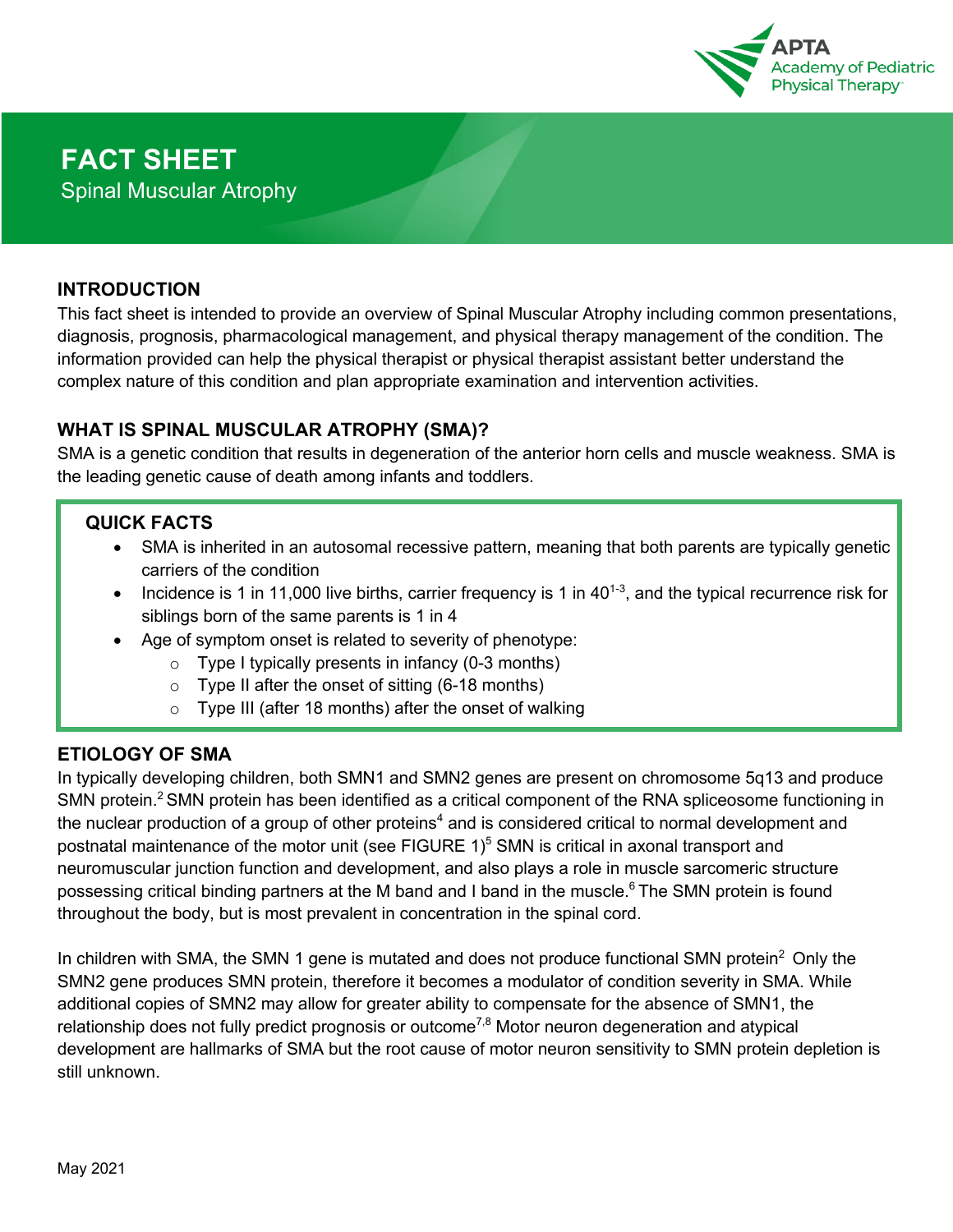

#### **INTRODUCTION**

This fact sheet is intended to provide an overview of Spinal Muscular Atrophy including common presentations, diagnosis, prognosis, pharmacological management, and physical therapy management of the condition. The information provided can help the physical therapist or physical therapist assistant better understand the complex nature of this condition and plan appropriate examination and intervention activities.

## **WHAT IS SPINAL MUSCULAR ATROPHY (SMA)?**

SMA is a genetic condition that results in degeneration of the anterior horn cells and muscle weakness. SMA is the leading genetic cause of death among infants and toddlers.

## **QUICK FACTS**

- SMA is inherited in an autosomal recessive pattern, meaning that both parents are typically genetic carriers of the condition
- Incidence is 1 in 11,000 live births, carrier frequency is 1 in  $40^{1-3}$ , and the typical recurrence risk for siblings born of the same parents is 1 in 4
- Age of symptom onset is related to severity of phenotype:
	- $\circ$  Type I typically presents in infancy (0-3 months)
	- $\circ$  Type II after the onset of sitting (6-18 months)
	- $\circ$  Type III (after 18 months) after the onset of walking

### **ETIOLOGY OF SMA**

In typically developing children, both SMN1 and SMN2 genes are present on chromosome 5q13 and produce SMN protein.<sup>2</sup> SMN protein has been identified as a critical component of the RNA spliceosome functioning in the nuclear production of a group of other proteins<sup>4</sup> and is considered critical to normal development and postnatal maintenance of the motor unit (see FIGURE  $1$ <sup>5</sup> SMN is critical in axonal transport and neuromuscular junction function and development, and also plays a role in muscle sarcomeric structure possessing critical binding partners at the M band and I band in the muscle.<sup>6</sup> The SMN protein is found throughout the body, but is most prevalent in concentration in the spinal cord.

In children with SMA, the SMN 1 gene is mutated and does not produce functional SMN protein<sup>2</sup> Only the SMN2 gene produces SMN protein, therefore it becomes a modulator of condition severity in SMA. While additional copies of SMN2 may allow for greater ability to compensate for the absence of SMN1, the relationship does not fully predict prognosis or outcome<sup>7,8</sup> Motor neuron degeneration and atypical development are hallmarks of SMA but the root cause of motor neuron sensitivity to SMN protein depletion is still unknown.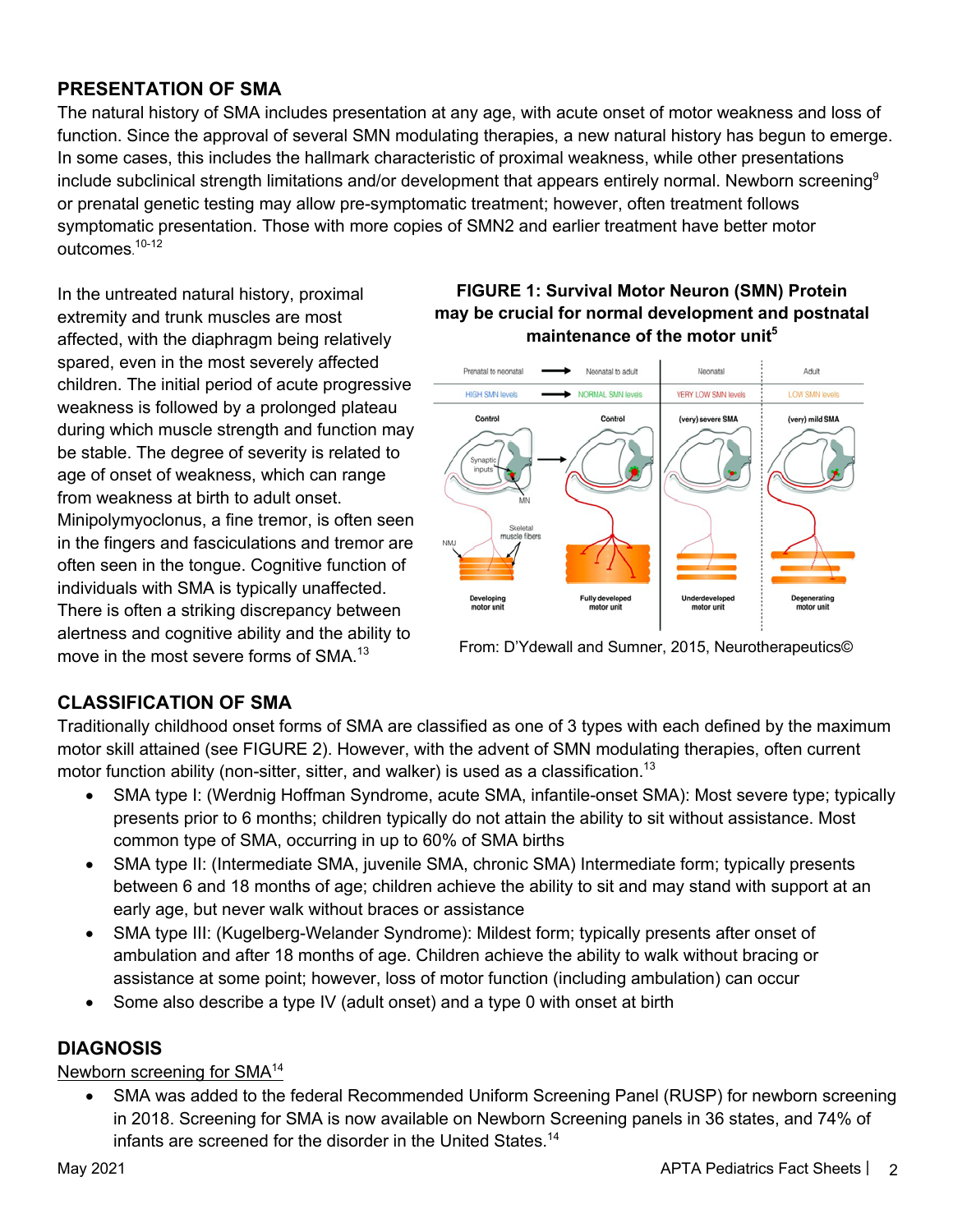## **PRESENTATION OF SMA**

The natural history of SMA includes presentation at any age, with acute onset of motor weakness and loss of function. Since the approval of several SMN modulating therapies, a new natural history has begun to emerge. In some cases, this includes the hallmark characteristic of proximal weakness, while other presentations include subclinical strength limitations and/or development that appears entirely normal. Newborn screening<sup>9</sup> or prenatal genetic testing may allow pre-symptomatic treatment; however, often treatment follows symptomatic presentation. Those with more copies of SMN2 and earlier treatment have better motor outcomes. 10-12

In the untreated natural history, proximal extremity and trunk muscles are most affected, with the diaphragm being relatively spared, even in the most severely affected children. The initial period of acute progressive weakness is followed by a prolonged plateau during which muscle strength and function may be stable. The degree of severity is related to age of onset of weakness, which can range from weakness at birth to adult onset. Minipolymyoclonus, a fine tremor, is often seen in the fingers and fasciculations and tremor are often seen in the tongue. Cognitive function of individuals with SMA is typically unaffected. There is often a striking discrepancy between alertness and cognitive ability and the ability to move in the most severe forms of SMA.<sup>13</sup>

## **FIGURE 1: Survival Motor Neuron (SMN) Protein may be crucial for normal development and postnatal maintenance of the motor unit5**



From: D'Ydewall and Sumner, 2015, Neurotherapeutics©

# **CLASSIFICATION OF SMA**

Traditionally childhood onset forms of SMA are classified as one of 3 types with each defined by the maximum motor skill attained (see FIGURE 2). However, with the advent of SMN modulating therapies, often current motor function ability (non-sitter, sitter, and walker) is used as a classification.<sup>13</sup>

- SMA type I: (Werdnig Hoffman Syndrome, acute SMA, infantile-onset SMA): Most severe type; typically presents prior to 6 months; children typically do not attain the ability to sit without assistance. Most common type of SMA, occurring in up to 60% of SMA births
- SMA type II: (Intermediate SMA, juvenile SMA, chronic SMA) Intermediate form; typically presents between 6 and 18 months of age; children achieve the ability to sit and may stand with support at an early age, but never walk without braces or assistance
- SMA type III: (Kugelberg-Welander Syndrome): Mildest form; typically presents after onset of ambulation and after 18 months of age. Children achieve the ability to walk without bracing or assistance at some point; however, loss of motor function (including ambulation) can occur
- Some also describe a type IV (adult onset) and a type 0 with onset at birth

# **DIAGNOSIS**

### Newborn screening for SMA<sup>14</sup>

• SMA was added to the federal Recommended Uniform Screening Panel (RUSP) for newborn screening in 2018. Screening for SMA is now available on Newborn Screening panels in 36 states, and 74% of infants are screened for the disorder in the United States.<sup>14</sup>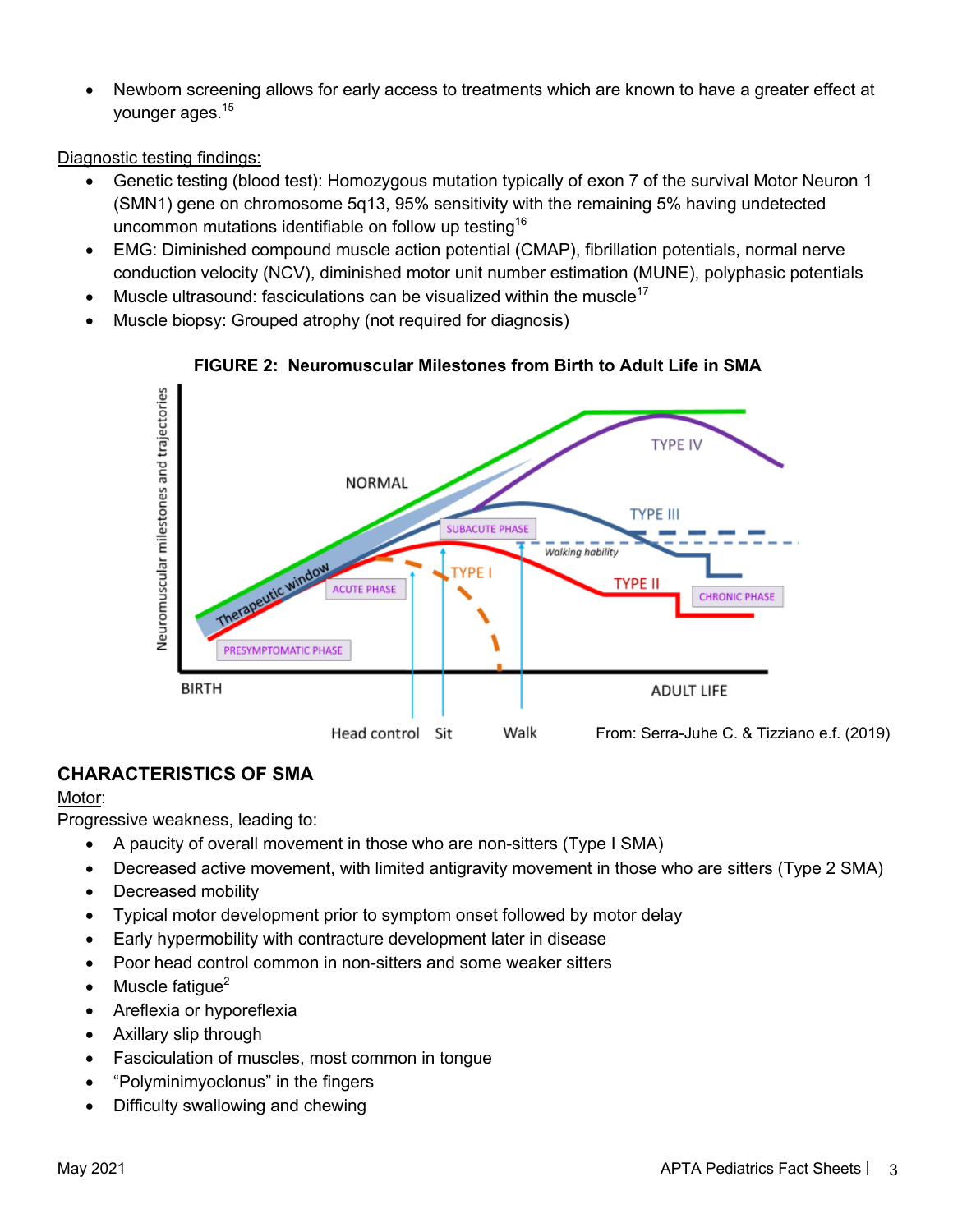• Newborn screening allows for early access to treatments which are known to have a greater effect at younger ages.<sup>15</sup>

Diagnostic testing findings:

- Genetic testing (blood test): Homozygous mutation typically of exon 7 of the survival Motor Neuron 1 (SMN1) gene on chromosome 5q13, 95% sensitivity with the remaining 5% having undetected uncommon mutations identifiable on follow up testing<sup>16</sup>
- EMG: Diminished compound muscle action potential (CMAP), fibrillation potentials, normal nerve conduction velocity (NCV), diminished motor unit number estimation (MUNE), polyphasic potentials
- Muscle ultrasound: fasciculations can be visualized within the muscle $17$
- Muscle biopsy: Grouped atrophy (not required for diagnosis)



**FIGURE 2: Neuromuscular Milestones from Birth to Adult Life in SMA**

# **CHARACTERISTICS OF SMA**

### Motor:

Progressive weakness, leading to:

- A paucity of overall movement in those who are non-sitters (Type I SMA)
- Decreased active movement, with limited antigravity movement in those who are sitters (Type 2 SMA)
- Decreased mobility
- Typical motor development prior to symptom onset followed by motor delay
- Early hypermobility with contracture development later in disease
- Poor head control common in non-sitters and some weaker sitters
- Muscle fatique $2$
- Areflexia or hyporeflexia
- Axillary slip through
- Fasciculation of muscles, most common in tongue
- "Polyminimyoclonus" in the fingers
- Difficulty swallowing and chewing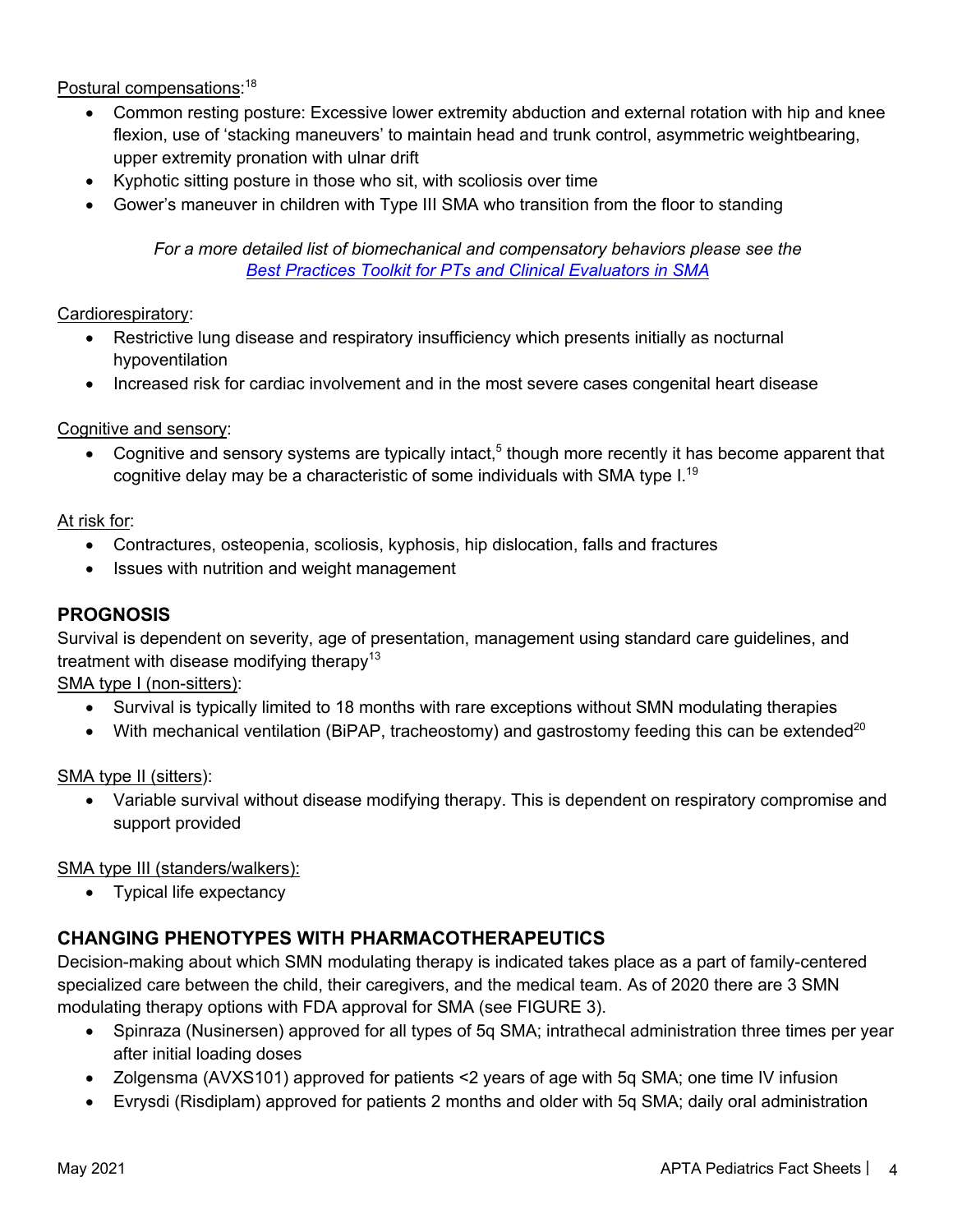Postural compensations:<sup>18</sup>

- Common resting posture: Excessive lower extremity abduction and external rotation with hip and knee flexion, use of 'stacking maneuvers' to maintain head and trunk control, asymmetric weightbearing, upper extremity pronation with ulnar drift
- Kyphotic sitting posture in those who sit, with scoliosis over time
- Gower's maneuver in children with Type III SMA who transition from the floor to standing

*For a more detailed list of biomechanical and compensatory behaviors please see the Best Practices Toolkit for PTs and Clinical Evaluators in SMA*

Cardiorespiratory:

- Restrictive lung disease and respiratory insufficiency which presents initially as nocturnal hypoventilation
- Increased risk for cardiac involvement and in the most severe cases congenital heart disease

Cognitive and sensory:

• Cognitive and sensory systems are typically intact,<sup>5</sup> though more recently it has become apparent that cognitive delay may be a characteristic of some individuals with SMA type I. 19

At risk for:

- Contractures, osteopenia, scoliosis, kyphosis, hip dislocation, falls and fractures
- Issues with nutrition and weight management

### **PROGNOSIS**

Survival is dependent on severity, age of presentation, management using standard care guidelines, and treatment with disease modifying therapy<sup>13</sup>

SMA type I (non-sitters):

- Survival is typically limited to 18 months with rare exceptions without SMN modulating therapies
- With mechanical ventilation (BiPAP, tracheostomy) and gastrostomy feeding this can be extended<sup>20</sup>

SMA type II (sitters):

• Variable survival without disease modifying therapy. This is dependent on respiratory compromise and support provided

SMA type III (standers/walkers):

• Typical life expectancy

## **CHANGING PHENOTYPES WITH PHARMACOTHERAPEUTICS**

Decision-making about which SMN modulating therapy is indicated takes place as a part of family-centered specialized care between the child, their caregivers, and the medical team. As of 2020 there are 3 SMN modulating therapy options with FDA approval for SMA (see FIGURE 3).

- Spinraza (Nusinersen) approved for all types of 5q SMA; intrathecal administration three times per year after initial loading doses
- Zolgensma (AVXS101) approved for patients <2 years of age with 5q SMA; one time IV infusion
- Evrysdi (Risdiplam) approved for patients 2 months and older with 5q SMA; daily oral administration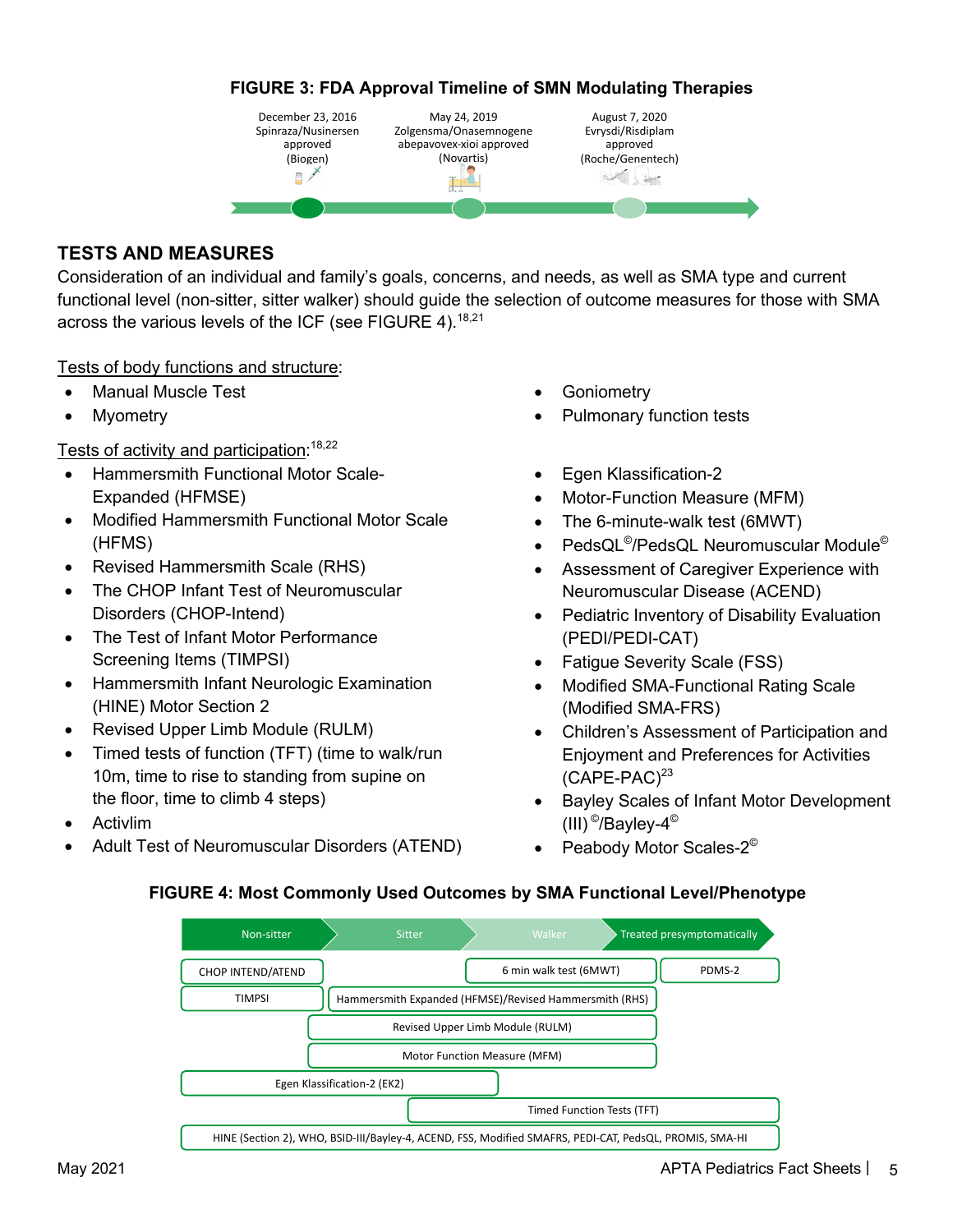### **FIGURE 3: FDA Approval Timeline of SMN Modulating Therapies**



### **TESTS AND MEASURES**

Consideration of an individual and family's goals, concerns, and needs, as well as SMA type and current functional level (non-sitter, sitter walker) should guide the selection of outcome measures for those with SMA across the various levels of the ICF (see FIGURE 4).<sup>18,21</sup>

#### Tests of body functions and structure:

- Manual Muscle Test
- **Myometry**

Tests of activity and participation:<sup>18,22</sup>

- Hammersmith Functional Motor Scale-Expanded (HFMSE)
- Modified Hammersmith Functional Motor Scale (HFMS)
- Revised Hammersmith Scale (RHS)
- The CHOP Infant Test of Neuromuscular Disorders (CHOP-Intend)
- The Test of Infant Motor Performance Screening Items (TIMPSI)
- Hammersmith Infant Neurologic Examination (HINE) Motor Section 2
- Revised Upper Limb Module (RULM)
- Timed tests of function (TFT) (time to walk/run 10m, time to rise to standing from supine on the floor, time to climb 4 steps)
- **Activlim**
- Adult Test of Neuromuscular Disorders (ATEND)
- **Goniometry**
- Pulmonary function tests
- Egen Klassification-2
- Motor-Function Measure (MFM)
- The 6-minute-walk test (6MWT)
- PedsQL©/PedsQL Neuromuscular Module©
- Assessment of Caregiver Experience with Neuromuscular Disease (ACEND)
- Pediatric Inventory of Disability Evaluation (PEDI/PEDI-CAT)
- Fatigue Severity Scale (FSS)
- Modified SMA-Functional Rating Scale (Modified SMA-FRS)
- Children's Assessment of Participation and Enjoyment and Preferences for Activities  $(CAPE-PAC)^{23}$
- Bayley Scales of Infant Motor Development (III)  $^{\circ}$ /Bayley-4 $^{\circ}$
- Peabody Motor Scales-2<sup>©</sup>

#### **FIGURE 4: Most Commonly Used Outcomes by SMA Functional Level/Phenotype**

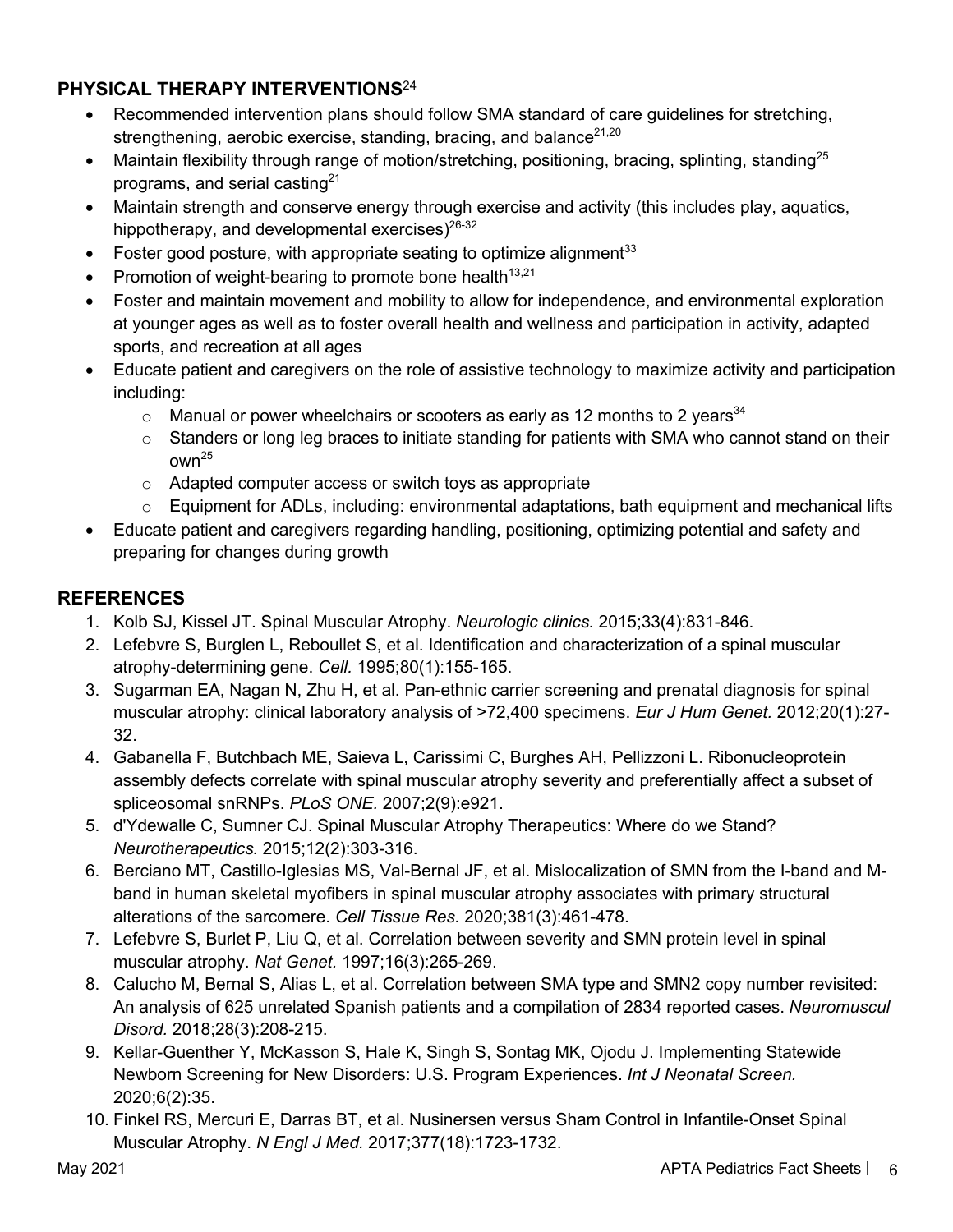# **PHYSICAL THERAPY INTERVENTIONS**<sup>24</sup>

- Recommended intervention plans should follow SMA standard of care guidelines for stretching, strengthening, aerobic exercise, standing, bracing, and balance $21,20$
- Maintain flexibility through range of motion/stretching, positioning, bracing, splinting, standing<sup>25</sup> programs, and serial casting<sup>21</sup>
- Maintain strength and conserve energy through exercise and activity (this includes play, aquatics, hippotherapy, and developmental exercises)<sup>26-32</sup>
- Foster good posture, with appropriate seating to optimize alignment $33$
- Promotion of weight-bearing to promote bone health<sup>13,21</sup>
- Foster and maintain movement and mobility to allow for independence, and environmental exploration at younger ages as well as to foster overall health and wellness and participation in activity, adapted sports, and recreation at all ages
- Educate patient and caregivers on the role of assistive technology to maximize activity and participation including:
	- $\circ$  Manual or power wheelchairs or scooters as early as 12 months to 2 years<sup>34</sup>
	- $\circ$  Standers or long leg braces to initiate standing for patients with SMA who cannot stand on their  $own<sup>25</sup>$
	- o Adapted computer access or switch toys as appropriate
	- $\circ$  Equipment for ADLs, including: environmental adaptations, bath equipment and mechanical lifts
- Educate patient and caregivers regarding handling, positioning, optimizing potential and safety and preparing for changes during growth

# **REFERENCES**

- 1. Kolb SJ, Kissel JT. Spinal Muscular Atrophy. *Neurologic clinics.* 2015;33(4):831-846.
- 2. Lefebvre S, Burglen L, Reboullet S, et al. Identification and characterization of a spinal muscular atrophy-determining gene. *Cell.* 1995;80(1):155-165.
- 3. Sugarman EA, Nagan N, Zhu H, et al. Pan-ethnic carrier screening and prenatal diagnosis for spinal muscular atrophy: clinical laboratory analysis of >72,400 specimens. *Eur J Hum Genet.* 2012;20(1):27- 32.
- 4. Gabanella F, Butchbach ME, Saieva L, Carissimi C, Burghes AH, Pellizzoni L. Ribonucleoprotein assembly defects correlate with spinal muscular atrophy severity and preferentially affect a subset of spliceosomal snRNPs. *PLoS ONE.* 2007;2(9):e921.
- 5. d'Ydewalle C, Sumner CJ. Spinal Muscular Atrophy Therapeutics: Where do we Stand? *Neurotherapeutics.* 2015;12(2):303-316.
- 6. Berciano MT, Castillo-Iglesias MS, Val-Bernal JF, et al. Mislocalization of SMN from the I-band and Mband in human skeletal myofibers in spinal muscular atrophy associates with primary structural alterations of the sarcomere. *Cell Tissue Res.* 2020;381(3):461-478.
- 7. Lefebvre S, Burlet P, Liu Q, et al. Correlation between severity and SMN protein level in spinal muscular atrophy. *Nat Genet.* 1997;16(3):265-269.
- 8. Calucho M, Bernal S, Alias L, et al. Correlation between SMA type and SMN2 copy number revisited: An analysis of 625 unrelated Spanish patients and a compilation of 2834 reported cases. *Neuromuscul Disord.* 2018;28(3):208-215.
- 9. Kellar-Guenther Y, McKasson S, Hale K, Singh S, Sontag MK, Ojodu J. Implementing Statewide Newborn Screening for New Disorders: U.S. Program Experiences. *Int J Neonatal Screen.*  2020;6(2):35.
- 10. Finkel RS, Mercuri E, Darras BT, et al. Nusinersen versus Sham Control in Infantile-Onset Spinal Muscular Atrophy. *N Engl J Med.* 2017;377(18):1723-1732.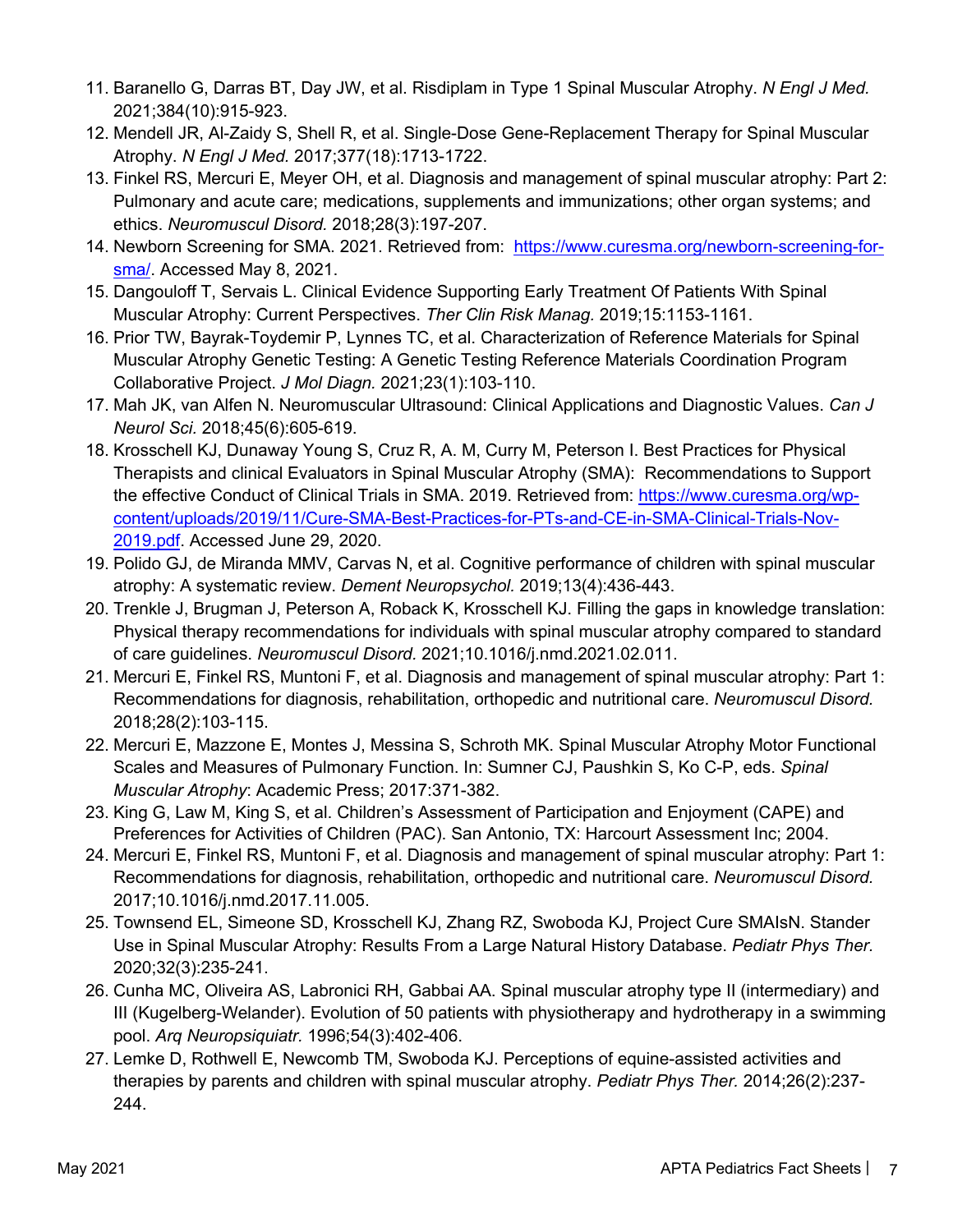- 11. Baranello G, Darras BT, Day JW, et al. Risdiplam in Type 1 Spinal Muscular Atrophy. *N Engl J Med.*  2021;384(10):915-923.
- 12. Mendell JR, Al-Zaidy S, Shell R, et al. Single-Dose Gene-Replacement Therapy for Spinal Muscular Atrophy. *N Engl J Med.* 2017;377(18):1713-1722.
- 13. Finkel RS, Mercuri E, Meyer OH, et al. Diagnosis and management of spinal muscular atrophy: Part 2: Pulmonary and acute care; medications, supplements and immunizations; other organ systems; and ethics. *Neuromuscul Disord.* 2018;28(3):197-207.
- 14. Newborn Screening for SMA. 2021. Retrieved from: https://www.curesma.org/newborn-screening-forsma/. Accessed May 8, 2021.
- 15. Dangouloff T, Servais L. Clinical Evidence Supporting Early Treatment Of Patients With Spinal Muscular Atrophy: Current Perspectives. *Ther Clin Risk Manag.* 2019;15:1153-1161.
- 16. Prior TW, Bayrak-Toydemir P, Lynnes TC, et al. Characterization of Reference Materials for Spinal Muscular Atrophy Genetic Testing: A Genetic Testing Reference Materials Coordination Program Collaborative Project. *J Mol Diagn.* 2021;23(1):103-110.
- 17. Mah JK, van Alfen N. Neuromuscular Ultrasound: Clinical Applications and Diagnostic Values. *Can J Neurol Sci.* 2018;45(6):605-619.
- 18. Krosschell KJ, Dunaway Young S, Cruz R, A. M, Curry M, Peterson I. Best Practices for Physical Therapists and clinical Evaluators in Spinal Muscular Atrophy (SMA): Recommendations to Support the effective Conduct of Clinical Trials in SMA. 2019. Retrieved from: https://www.curesma.org/wpcontent/uploads/2019/11/Cure-SMA-Best-Practices-for-PTs-and-CE-in-SMA-Clinical-Trials-Nov-2019.pdf. Accessed June 29, 2020.
- 19. Polido GJ, de Miranda MMV, Carvas N, et al. Cognitive performance of children with spinal muscular atrophy: A systematic review. *Dement Neuropsychol.* 2019;13(4):436-443.
- 20. Trenkle J, Brugman J, Peterson A, Roback K, Krosschell KJ. Filling the gaps in knowledge translation: Physical therapy recommendations for individuals with spinal muscular atrophy compared to standard of care guidelines. *Neuromuscul Disord.* 2021;10.1016/j.nmd.2021.02.011.
- 21. Mercuri E, Finkel RS, Muntoni F, et al. Diagnosis and management of spinal muscular atrophy: Part 1: Recommendations for diagnosis, rehabilitation, orthopedic and nutritional care. *Neuromuscul Disord.*  2018;28(2):103-115.
- 22. Mercuri E, Mazzone E, Montes J, Messina S, Schroth MK. Spinal Muscular Atrophy Motor Functional Scales and Measures of Pulmonary Function. In: Sumner CJ, Paushkin S, Ko C-P, eds. *Spinal Muscular Atrophy*: Academic Press; 2017:371-382.
- 23. King G, Law M, King S, et al. Children's Assessment of Participation and Enjoyment (CAPE) and Preferences for Activities of Children (PAC). San Antonio, TX: Harcourt Assessment Inc; 2004.
- 24. Mercuri E, Finkel RS, Muntoni F, et al. Diagnosis and management of spinal muscular atrophy: Part 1: Recommendations for diagnosis, rehabilitation, orthopedic and nutritional care. *Neuromuscul Disord.*  2017;10.1016/j.nmd.2017.11.005.
- 25. Townsend EL, Simeone SD, Krosschell KJ, Zhang RZ, Swoboda KJ, Project Cure SMAIsN. Stander Use in Spinal Muscular Atrophy: Results From a Large Natural History Database. *Pediatr Phys Ther.*  2020;32(3):235-241.
- 26. Cunha MC, Oliveira AS, Labronici RH, Gabbai AA. Spinal muscular atrophy type II (intermediary) and III (Kugelberg-Welander). Evolution of 50 patients with physiotherapy and hydrotherapy in a swimming pool. *Arq Neuropsiquiatr.* 1996;54(3):402-406.
- 27. Lemke D, Rothwell E, Newcomb TM, Swoboda KJ. Perceptions of equine-assisted activities and therapies by parents and children with spinal muscular atrophy. *Pediatr Phys Ther.* 2014;26(2):237- 244.